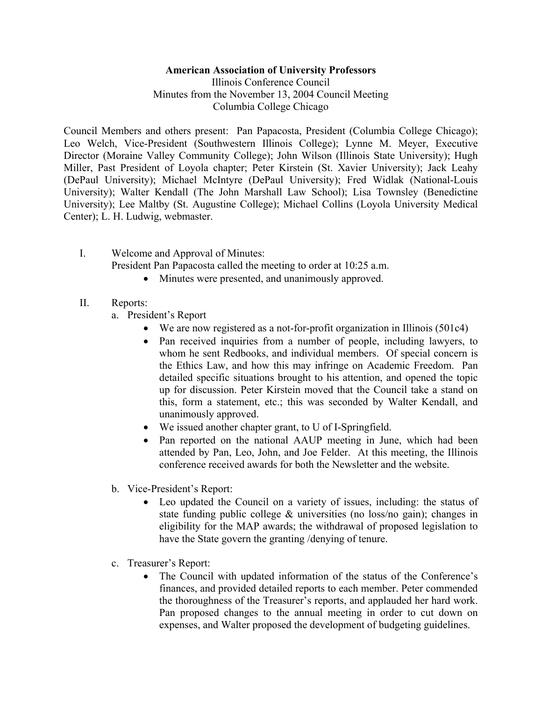## **American Association of University Professors**

Illinois Conference Council Minutes from the November 13, 2004 Council Meeting Columbia College Chicago

Council Members and others present: Pan Papacosta, President (Columbia College Chicago); Leo Welch, Vice-President (Southwestern Illinois College); Lynne M. Meyer, Executive Director (Moraine Valley Community College); John Wilson (Illinois State University); Hugh Miller, Past President of Loyola chapter; Peter Kirstein (St. Xavier University); Jack Leahy (DePaul University); Michael McIntyre (DePaul University); Fred Widlak (National-Louis University); Walter Kendall (The John Marshall Law School); Lisa Townsley (Benedictine University); Lee Maltby (St. Augustine College); Michael Collins (Loyola University Medical Center); L. H. Ludwig, webmaster.

- I. Welcome and Approval of Minutes: President Pan Papacosta called the meeting to order at 10:25 a.m.
	- Minutes were presented, and unanimously approved.
- II. Reports:
	- a. President's Report
		- We are now registered as a not-for-profit organization in Illinois (501c4)
		- Pan received inquiries from a number of people, including lawyers, to whom he sent Redbooks, and individual members. Of special concern is the Ethics Law, and how this may infringe on Academic Freedom. Pan detailed specific situations brought to his attention, and opened the topic up for discussion. Peter Kirstein moved that the Council take a stand on this, form a statement, etc.; this was seconded by Walter Kendall, and unanimously approved.
		- We issued another chapter grant, to U of I-Springfield.
		- Pan reported on the national AAUP meeting in June, which had been attended by Pan, Leo, John, and Joe Felder. At this meeting, the Illinois conference received awards for both the Newsletter and the website.
	- b. Vice-President's Report:
		- Leo updated the Council on a variety of issues, including: the status of state funding public college & universities (no loss/no gain); changes in eligibility for the MAP awards; the withdrawal of proposed legislation to have the State govern the granting /denying of tenure.
	- c. Treasurer's Report:
		- The Council with updated information of the status of the Conference's finances, and provided detailed reports to each member. Peter commended the thoroughness of the Treasurer's reports, and applauded her hard work. Pan proposed changes to the annual meeting in order to cut down on expenses, and Walter proposed the development of budgeting guidelines.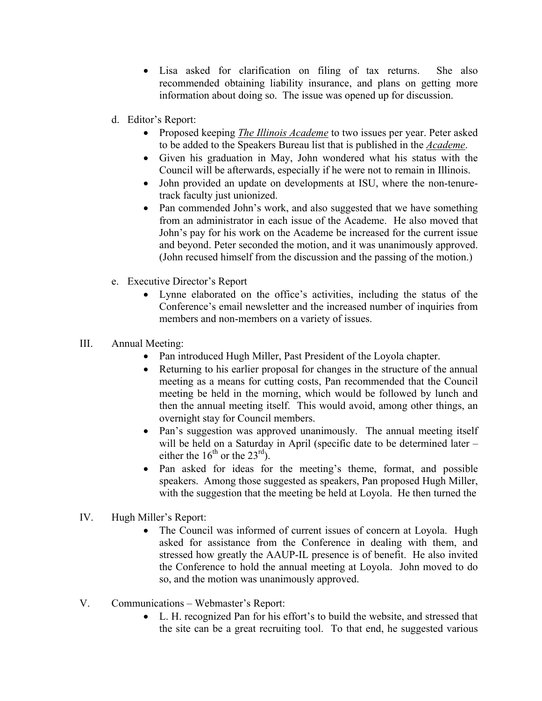- Lisa asked for clarification on filing of tax returns. She also recommended obtaining liability insurance, and plans on getting more information about doing so. The issue was opened up for discussion.
- d. Editor's Report:
	- Proposed keeping *The Illinois Academe* to two issues per year. Peter asked to be added to the Speakers Bureau list that is published in the *Academe*.
	- Given his graduation in May, John wondered what his status with the Council will be afterwards, especially if he were not to remain in Illinois.
	- John provided an update on developments at ISU, where the non-tenuretrack faculty just unionized.
	- Pan commended John's work, and also suggested that we have something from an administrator in each issue of the Academe. He also moved that John's pay for his work on the Academe be increased for the current issue and beyond. Peter seconded the motion, and it was unanimously approved. (John recused himself from the discussion and the passing of the motion.)
- e. Executive Director's Report
	- Lynne elaborated on the office's activities, including the status of the Conference's email newsletter and the increased number of inquiries from members and non-members on a variety of issues.
- III. Annual Meeting:
	- Pan introduced Hugh Miller, Past President of the Loyola chapter.
	- Returning to his earlier proposal for changes in the structure of the annual meeting as a means for cutting costs, Pan recommended that the Council meeting be held in the morning, which would be followed by lunch and then the annual meeting itself. This would avoid, among other things, an overnight stay for Council members.
	- Pan's suggestion was approved unanimously. The annual meeting itself will be held on a Saturday in April (specific date to be determined later – either the  $16^{th}$  or the  $23^{rd}$ ).
	- Pan asked for ideas for the meeting's theme, format, and possible speakers. Among those suggested as speakers, Pan proposed Hugh Miller, with the suggestion that the meeting be held at Loyola. He then turned the
- IV. Hugh Miller's Report:
	- The Council was informed of current issues of concern at Loyola. Hugh asked for assistance from the Conference in dealing with them, and stressed how greatly the AAUP-IL presence is of benefit. He also invited the Conference to hold the annual meeting at Loyola. John moved to do so, and the motion was unanimously approved.
- V. Communications Webmaster's Report:
	- L. H. recognized Pan for his effort's to build the website, and stressed that the site can be a great recruiting tool. To that end, he suggested various